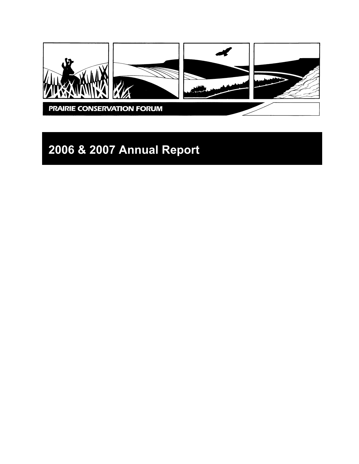

# **2006 & 2007 Annual Report**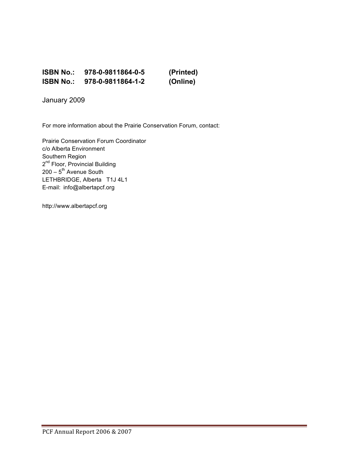### **ISBN No.: 978-0-9811864-0-5 (Printed) ISBN No.: 978-0-9811864-1-2 (Online)**

January 2009

For more information about the Prairie Conservation Forum, contact:

Prairie Conservation Forum Coordinator c/o Alberta Environment Southern Region 2<sup>nd</sup> Floor, Provincial Building 200 – 5<sup>th</sup> Avenue South LETHBRIDGE, Alberta T1J 4L1 E-mail: info@albertapcf.org

http://www.albertapcf.org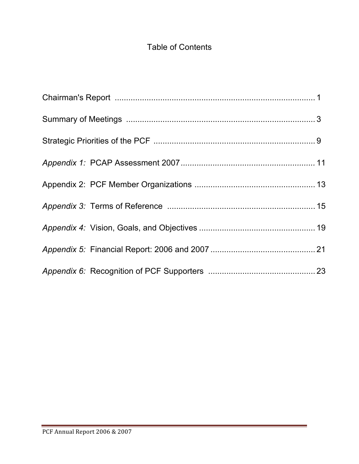# Table of Contents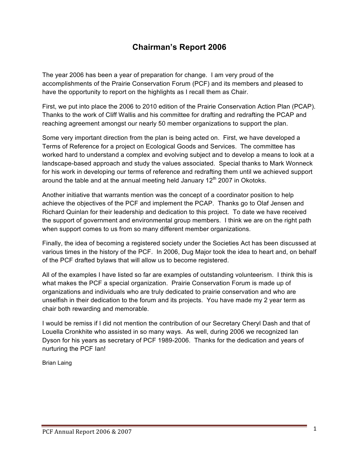### **Chairman's Report 2006**

The year 2006 has been a year of preparation for change. I am very proud of the accomplishments of the Prairie Conservation Forum (PCF) and its members and pleased to have the opportunity to report on the highlights as I recall them as Chair.

First, we put into place the 2006 to 2010 edition of the Prairie Conservation Action Plan (PCAP). Thanks to the work of Cliff Wallis and his committee for drafting and redrafting the PCAP and reaching agreement amongst our nearly 50 member organizations to support the plan.

Some very important direction from the plan is being acted on. First, we have developed a Terms of Reference for a project on Ecological Goods and Services. The committee has worked hard to understand a complex and evolving subject and to develop a means to look at a landscape-based approach and study the values associated. Special thanks to Mark Wonneck for his work in developing our terms of reference and redrafting them until we achieved support around the table and at the annual meeting held January  $12<sup>th</sup>$  2007 in Okotoks.

Another initiative that warrants mention was the concept of a coordinator position to help achieve the objectives of the PCF and implement the PCAP. Thanks go to Olaf Jensen and Richard Quinlan for their leadership and dedication to this project. To date we have received the support of government and environmental group members. I think we are on the right path when support comes to us from so many different member organizations.

Finally, the idea of becoming a registered society under the Societies Act has been discussed at various times in the history of the PCF. In 2006, Dug Major took the idea to heart and, on behalf of the PCF drafted bylaws that will allow us to become registered.

All of the examples I have listed so far are examples of outstanding volunteerism. I think this is what makes the PCF a special organization. Prairie Conservation Forum is made up of organizations and individuals who are truly dedicated to prairie conservation and who are unselfish in their dedication to the forum and its projects. You have made my 2 year term as chair both rewarding and memorable.

I would be remiss if I did not mention the contribution of our Secretary Cheryl Dash and that of Louella Cronkhite who assisted in so many ways. As well, during 2006 we recognized Ian Dyson for his years as secretary of PCF 1989-2006. Thanks for the dedication and years of nurturing the PCF Ian!

Brian Laing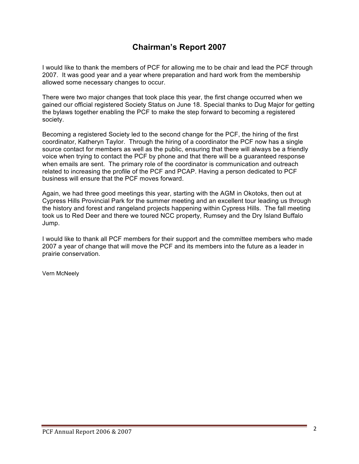### **Chairman's Report 2007**

I would like to thank the members of PCF for allowing me to be chair and lead the PCF through 2007. It was good year and a year where preparation and hard work from the membership allowed some necessary changes to occur.

There were two major changes that took place this year, the first change occurred when we gained our official registered Society Status on June 18. Special thanks to Dug Major for getting the bylaws together enabling the PCF to make the step forward to becoming a registered society.

Becoming a registered Society led to the second change for the PCF, the hiring of the first coordinator, Katheryn Taylor. Through the hiring of a coordinator the PCF now has a single source contact for members as well as the public, ensuring that there will always be a friendly voice when trying to contact the PCF by phone and that there will be a guaranteed response when emails are sent. The primary role of the coordinator is communication and outreach related to increasing the profile of the PCF and PCAP. Having a person dedicated to PCF business will ensure that the PCF moves forward.

Again, we had three good meetings this year, starting with the AGM in Okotoks, then out at Cypress Hills Provincial Park for the summer meeting and an excellent tour leading us through the history and forest and rangeland projects happening within Cypress Hills. The fall meeting took us to Red Deer and there we toured NCC property, Rumsey and the Dry Island Buffalo Jump.

I would like to thank all PCF members for their support and the committee members who made 2007 a year of change that will move the PCF and its members into the future as a leader in prairie conservation.

Vern McNeely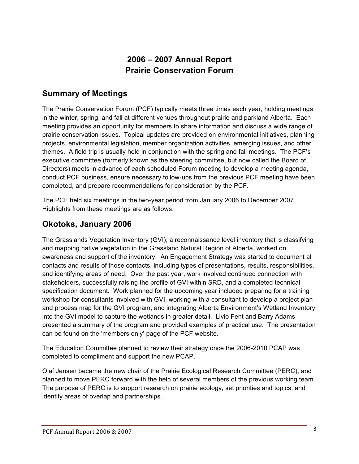### **2006 – 2007 Annual Report Prairie Conservation Forum**

### **Summary of Meetings**

The Prairie Conservation Forum (PCF) typically meets three times each year, holding meetings in the winter, spring, and fall at different venues throughout prairie and parkland Alberta. Each meeting provides an opportunity for members to share information and discuss a wide range of prairie conservation issues. Topical updates are provided on environmental initiatives, planning projects, environmental legislation, member organization activities, emerging issues, and other themes. A field trip is usually held in conjunction with the spring and fall meetings. The PCF's executive committee (formerly known as the steering committee, but now called the Board of Directors) meets in advance of each scheduled Forum meeting to develop a meeting agenda, conduct PCF business, ensure necessary follow-ups from the previous PCF meeting have been completed, and prepare recommendations for consideration by the PCF.

The PCF held six meetings in the two-year period from January 2006 to December 2007. Highlights from these meetings are as follows.

### **Okotoks, January 2006**

The Grasslands Vegetation Inventory (GVI), a reconnaissance level inventory that is classifying and mapping native vegetation in the Grassland Natural Region of Alberta, worked on awareness and support of the inventory. An Engagement Strategy was started to document all contacts and results of those contacts, including types of presentations, results, responsibilities, and identifying areas of need. Over the past year, work involved continued connection with stakeholders, successfully raising the profile of GVI within SRD, and a completed technical specification document. Work planned for the upcoming year included preparing for a training workshop for consultants involved with GVI, working with a consultant to develop a project plan and process map for the GVI program, and integrating Alberta Environment's Wetland Inventory into the GVI model to capture the wetlands in greater detail. Livio Fent and Barry Adams presented a summary of the program and provided examples of practical use. The presentation can be found on the 'members only' page of the PCF website.

The Education Committee planned to review their strategy once the 2006-2010 PCAP was completed to compliment and support the new PCAP.

Olaf Jensen became the new chair of the Prairie Ecological Research Committee (PERC), and planned to move PERC forward with the help of several members of the previous working team. The purpose of PERC is to support research on prairie ecology, set priorities and topics, and identify areas of overlap and partnerships.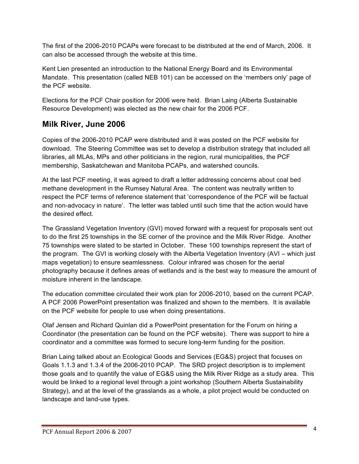The first of the 2006-2010 PCAPs were forecast to be distributed at the end of March, 2006. It can also be accessed through the website at this time.

Kent Lien presented an introduction to the National Energy Board and its Environmental Mandate. This presentation (called NEB 101) can be accessed on the 'members only' page of the PCF website.

Elections for the PCF Chair position for 2006 were held. Brian Laing (Alberta Sustainable Resource Development) was elected as the new chair for the 2006 PCF.

### **Milk River, June 2006**

Copies of the 2006-2010 PCAP were distributed and it was posted on the PCF website for download. The Steering Committee was set to develop a distribution strategy that included all libraries, all MLAs, MPs and other politicians in the region, rural municipalities, the PCF membership, Saskatchewan and Manitoba PCAPs, and watershed councils.

At the last PCF meeting, it was agreed to draft a letter addressing concerns about coal bed methane development in the Rumsey Natural Area. The content was neutrally written to respect the PCF terms of reference statement that 'correspondence of the PCF will be factual and non-advocacy in nature'. The letter was tabled until such time that the action would have the desired effect.

The Grassland Vegetation Inventory (GVI) moved forward with a request for proposals sent out to do the first 25 townships in the SE corner of the province and the Milk River Ridge. Another 75 townships were slated to be started in October. These 100 townships represent the start of the program. The GVI is working closely with the Alberta Vegetation Inventory (AVI – which just maps vegetation) to ensure seamlessness. Colour infrared was chosen for the aerial photography because it defines areas of wetlands and is the best way to measure the amount of moisture inherent in the landscape.

The education committee circulated their work plan for 2006-2010, based on the current PCAP. A PCF 2006 PowerPoint presentation was finalized and shown to the members. It is available on the PCF website for people to use when doing presentations.

Olaf Jensen and Richard Quinlan did a PowerPoint presentation for the Forum on hiring a Coordinator (the presentation can be found on the PCF website). There was support to hire a coordinator and a committee was formed to secure long-term funding for the position.

Brian Laing talked about an Ecological Goods and Services (EG&S) project that focuses on Goals 1.1.3 and 1.3.4 of the 2006-2010 PCAP. The SRD project description is to implement those goals and to quantify the value of EG&S using the Milk River Ridge as a study area. This would be linked to a regional level through a joint workshop (Southern Alberta Sustainability Strategy), and at the level of the grasslands as a whole, a pilot project would be conducted on landscape and land-use types.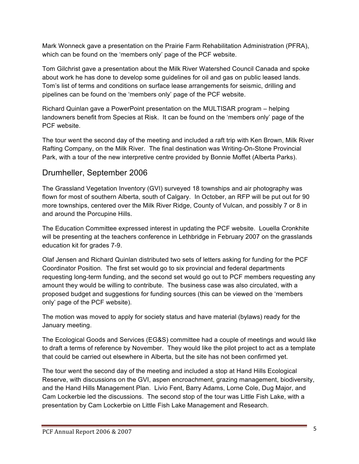Mark Wonneck gave a presentation on the Prairie Farm Rehabilitation Administration (PFRA), which can be found on the 'members only' page of the PCF website.

Tom Gilchrist gave a presentation about the Milk River Watershed Council Canada and spoke about work he has done to develop some guidelines for oil and gas on public leased lands. Tom's list of terms and conditions on surface lease arrangements for seismic, drilling and pipelines can be found on the 'members only' page of the PCF website.

Richard Quinlan gave a PowerPoint presentation on the MULTISAR program – helping landowners benefit from Species at Risk. It can be found on the 'members only' page of the PCF website.

The tour went the second day of the meeting and included a raft trip with Ken Brown, Milk River Rafting Company, on the Milk River. The final destination was Writing-On-Stone Provincial Park, with a tour of the new interpretive centre provided by Bonnie Moffet (Alberta Parks).

### Drumheller, September 2006

The Grassland Vegetation Inventory (GVI) surveyed 18 townships and air photography was flown for most of southern Alberta, south of Calgary. In October, an RFP will be put out for 90 more townships, centered over the Milk River Ridge, County of Vulcan, and possibly 7 or 8 in and around the Porcupine Hills.

The Education Committee expressed interest in updating the PCF website. Louella Cronkhite will be presenting at the teachers conference in Lethbridge in February 2007 on the grasslands education kit for grades 7-9.

Olaf Jensen and Richard Quinlan distributed two sets of letters asking for funding for the PCF Coordinator Position. The first set would go to six provincial and federal departments requesting long-term funding, and the second set would go out to PCF members requesting any amount they would be willing to contribute. The business case was also circulated, with a proposed budget and suggestions for funding sources (this can be viewed on the 'members only' page of the PCF website).

The motion was moved to apply for society status and have material (bylaws) ready for the January meeting.

The Ecological Goods and Services (EG&S) committee had a couple of meetings and would like to draft a terms of reference by November. They would like the pilot project to act as a template that could be carried out elsewhere in Alberta, but the site has not been confirmed yet.

The tour went the second day of the meeting and included a stop at Hand Hills Ecological Reserve, with discussions on the GVI, aspen encroachment, grazing management, biodiversity, and the Hand Hills Management Plan. Livio Fent, Barry Adams, Lorne Cole, Dug Major, and Cam Lockerbie led the discussions. The second stop of the tour was Little Fish Lake, with a presentation by Cam Lockerbie on Little Fish Lake Management and Research.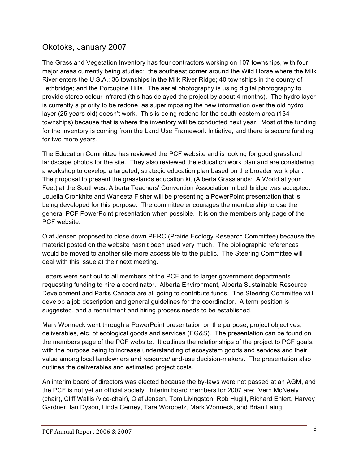### Okotoks, January 2007

The Grassland Vegetation Inventory has four contractors working on 107 townships, with four major areas currently being studied: the southeast corner around the Wild Horse where the Milk River enters the U.S.A.; 36 townships in the Milk River Ridge; 40 townships in the county of Lethbridge; and the Porcupine Hills. The aerial photography is using digital photography to provide stereo colour infrared (this has delayed the project by about 4 months). The hydro layer is currently a priority to be redone, as superimposing the new information over the old hydro layer (25 years old) doesn't work. This is being redone for the south-eastern area (134 townships) because that is where the inventory will be conducted next year. Most of the funding for the inventory is coming from the Land Use Framework Initiative, and there is secure funding for two more years.

The Education Committee has reviewed the PCF website and is looking for good grassland landscape photos for the site. They also reviewed the education work plan and are considering a workshop to develop a targeted, strategic education plan based on the broader work plan. The proposal to present the grasslands education kit (Alberta Grasslands: A World at your Feet) at the Southwest Alberta Teachers' Convention Association in Lethbridge was accepted. Louella Cronkhite and Waneeta Fisher will be presenting a PowerPoint presentation that is being developed for this purpose. The committee encourages the membership to use the general PCF PowerPoint presentation when possible. It is on the members only page of the PCF website.

Olaf Jensen proposed to close down PERC (Prairie Ecology Research Committee) because the material posted on the website hasn't been used very much. The bibliographic references would be moved to another site more accessible to the public. The Steering Committee will deal with this issue at their next meeting.

Letters were sent out to all members of the PCF and to larger government departments requesting funding to hire a coordinator. Alberta Environment, Alberta Sustainable Resource Development and Parks Canada are all going to contribute funds. The Steering Committee will develop a job description and general guidelines for the coordinator. A term position is suggested, and a recruitment and hiring process needs to be established.

Mark Wonneck went through a PowerPoint presentation on the purpose, project objectives, deliverables, etc. of ecological goods and services (EG&S). The presentation can be found on the members page of the PCF website. It outlines the relationships of the project to PCF goals, with the purpose being to increase understanding of ecosystem goods and services and their value among local landowners and resource/land-use decision-makers. The presentation also outlines the deliverables and estimated project costs.

An interim board of directors was elected because the by-laws were not passed at an AGM, and the PCF is not yet an official society. Interim board members for 2007 are: Vern McNeely (chair), Cliff Wallis (vice-chair), Olaf Jensen, Tom Livingston, Rob Hugill, Richard Ehlert, Harvey Gardner, Ian Dyson, Linda Cerney, Tara Worobetz, Mark Wonneck, and Brian Laing.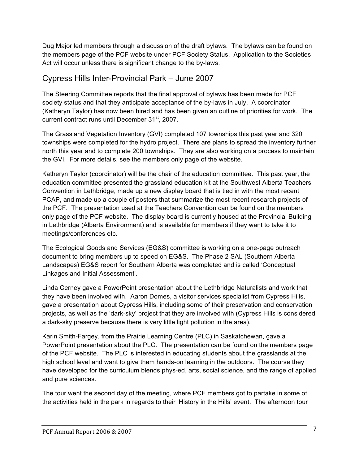Dug Major led members through a discussion of the draft bylaws. The bylaws can be found on the members page of the PCF website under PCF Society Status. Application to the Societies Act will occur unless there is significant change to the by-laws.

### Cypress Hills Inter-Provincial Park – June 2007

The Steering Committee reports that the final approval of bylaws has been made for PCF society status and that they anticipate acceptance of the by-laws in July. A coordinator (Katheryn Taylor) has now been hired and has been given an outline of priorities for work. The current contract runs until December 31<sup>st</sup>, 2007.

The Grassland Vegetation Inventory (GVI) completed 107 townships this past year and 320 townships were completed for the hydro project. There are plans to spread the inventory further north this year and to complete 200 townships. They are also working on a process to maintain the GVI. For more details, see the members only page of the website.

Katheryn Taylor (coordinator) will be the chair of the education committee. This past year, the education committee presented the grassland education kit at the Southwest Alberta Teachers Convention in Lethbridge, made up a new display board that is tied in with the most recent PCAP, and made up a couple of posters that summarize the most recent research projects of the PCF. The presentation used at the Teachers Convention can be found on the members only page of the PCF website. The display board is currently housed at the Provincial Building in Lethbridge (Alberta Environment) and is available for members if they want to take it to meetings/conferences etc.

The Ecological Goods and Services (EG&S) committee is working on a one-page outreach document to bring members up to speed on EG&S. The Phase 2 SAL (Southern Alberta Landscapes) EG&S report for Southern Alberta was completed and is called 'Conceptual Linkages and Initial Assessment'.

Linda Cerney gave a PowerPoint presentation about the Lethbridge Naturalists and work that they have been involved with. Aaron Domes, a visitor services specialist from Cypress Hills, gave a presentation about Cypress Hills, including some of their preservation and conservation projects, as well as the 'dark-sky' project that they are involved with (Cypress Hills is considered a dark-sky preserve because there is very little light pollution in the area).

Karin Smith-Fargey, from the Prairie Learning Centre (PLC) in Saskatchewan, gave a PowerPoint presentation about the PLC. The presentation can be found on the members page of the PCF website. The PLC is interested in educating students about the grasslands at the high school level and want to give them hands-on learning in the outdoors. The course they have developed for the curriculum blends phys-ed, arts, social science, and the range of applied and pure sciences.

The tour went the second day of the meeting, where PCF members got to partake in some of the activities held in the park in regards to their 'History in the Hills' event. The afternoon tour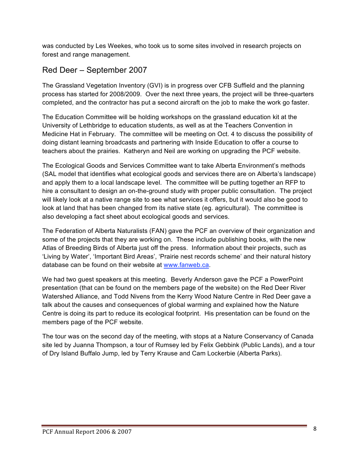was conducted by Les Weekes, who took us to some sites involved in research projects on forest and range management.

### Red Deer – September 2007

The Grassland Vegetation Inventory (GVI) is in progress over CFB Suffield and the planning process has started for 2008/2009. Over the next three years, the project will be three-quarters completed, and the contractor has put a second aircraft on the job to make the work go faster.

The Education Committee will be holding workshops on the grassland education kit at the University of Lethbridge to education students, as well as at the Teachers Convention in Medicine Hat in February. The committee will be meeting on Oct. 4 to discuss the possibility of doing distant learning broadcasts and partnering with Inside Education to offer a course to teachers about the prairies. Katheryn and Neil are working on upgrading the PCF website.

The Ecological Goods and Services Committee want to take Alberta Environment's methods (SAL model that identifies what ecological goods and services there are on Alberta's landscape) and apply them to a local landscape level. The committee will be putting together an RFP to hire a consultant to design an on-the-ground study with proper public consultation. The project will likely look at a native range site to see what services it offers, but it would also be good to look at land that has been changed from its native state (eg. agricultural). The committee is also developing a fact sheet about ecological goods and services.

The Federation of Alberta Naturalists (FAN) gave the PCF an overview of their organization and some of the projects that they are working on. These include publishing books, with the new Atlas of Breeding Birds of Alberta just off the press. Information about their projects, such as 'Living by Water', 'Important Bird Areas', 'Prairie nest records scheme' and their natural history database can be found on their website at www.fanweb.ca.

We had two guest speakers at this meeting. Beverly Anderson gave the PCF a PowerPoint presentation (that can be found on the members page of the website) on the Red Deer River Watershed Alliance, and Todd Nivens from the Kerry Wood Nature Centre in Red Deer gave a talk about the causes and consequences of global warming and explained how the Nature Centre is doing its part to reduce its ecological footprint. His presentation can be found on the members page of the PCF website.

The tour was on the second day of the meeting, with stops at a Nature Conservancy of Canada site led by Juanna Thompson, a tour of Rumsey led by Felix Gebbink (Public Lands), and a tour of Dry Island Buffalo Jump, led by Terry Krause and Cam Lockerbie (Alberta Parks).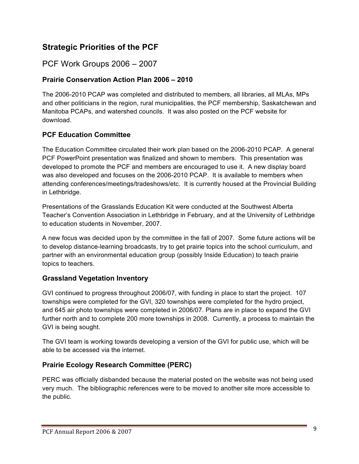### **Strategic Priorities of the PCF**

### PCF Work Groups 2006 – 2007

#### **Prairie Conservation Action Plan 2006 – 2010**

The 2006-2010 PCAP was completed and distributed to members, all libraries, all MLAs, MPs and other politicians in the region, rural municipalities, the PCF membership, Saskatchewan and Manitoba PCAPs, and watershed councils. It was also posted on the PCF website for download.

#### **PCF Education Committee**

The Education Committee circulated their work plan based on the 2006-2010 PCAP. A general PCF PowerPoint presentation was finalized and shown to members. This presentation was developed to promote the PCF and members are encouraged to use it. A new display board was also developed and focuses on the 2006-2010 PCAP. It is available to members when attending conferences/meetings/tradeshows/etc. It is currently housed at the Provincial Building in Lethbridge.

Presentations of the Grasslands Education Kit were conducted at the Southwest Alberta Teacher's Convention Association in Lethbridge in February, and at the University of Lethbridge to education students in November, 2007.

A new focus was decided upon by the committee in the fall of 2007. Some future actions will be to develop distance-learning broadcasts, try to get prairie topics into the school curriculum, and partner with an environmental education group (possibly Inside Education) to teach prairie topics to teachers.

#### **Grassland Vegetation Inventory**

GVI continued to progress throughout 2006/07, with funding in place to start the project. 107 townships were completed for the GVI, 320 townships were completed for the hydro project, and 645 air photo townships were completed in 2006/07. Plans are in place to expand the GVI further north and to complete 200 more townships in 2008. Currently, a process to maintain the GVI is being sought.

The GVI team is working towards developing a version of the GVI for public use, which will be able to be accessed via the internet.

#### **Prairie Ecology Research Committee (PERC)**

PERC was officially disbanded because the material posted on the website was not being used very much. The bibliographic references were to be moved to another site more accessible to the public.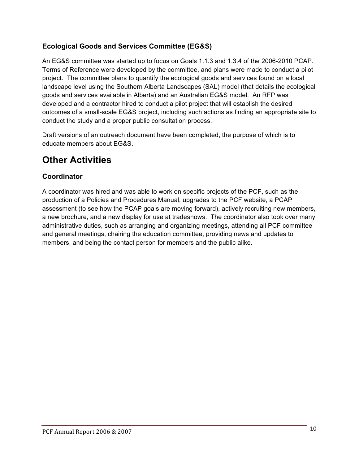### **Ecological Goods and Services Committee (EG&S)**

An EG&S committee was started up to focus on Goals 1.1.3 and 1.3.4 of the 2006-2010 PCAP. Terms of Reference were developed by the committee, and plans were made to conduct a pilot project. The committee plans to quantify the ecological goods and services found on a local landscape level using the Southern Alberta Landscapes (SAL) model (that details the ecological goods and services available in Alberta) and an Australian EG&S model. An RFP was developed and a contractor hired to conduct a pilot project that will establish the desired outcomes of a small-scale EG&S project, including such actions as finding an appropriate site to conduct the study and a proper public consultation process.

Draft versions of an outreach document have been completed, the purpose of which is to educate members about EG&S.

# **Other Activities**

### **Coordinator**

A coordinator was hired and was able to work on specific projects of the PCF, such as the production of a Policies and Procedures Manual, upgrades to the PCF website, a PCAP assessment (to see how the PCAP goals are moving forward), actively recruiting new members, a new brochure, and a new display for use at tradeshows. The coordinator also took over many administrative duties, such as arranging and organizing meetings, attending all PCF committee and general meetings, chairing the education committee, providing news and updates to members, and being the contact person for members and the public alike.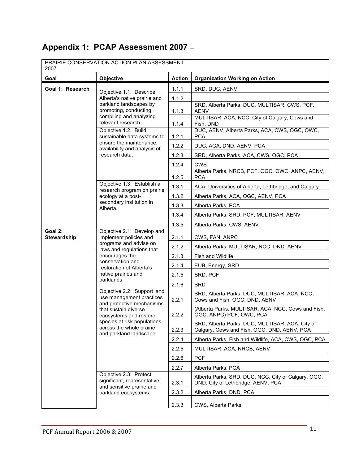# **Appendix 1: PCAP Assessment 2007** –

| PRAIRIE CONSERVATION ACTION PLAN ASSESSMENT<br>2007        |                                                                                                                                                                                                                              |                          |                                                                                                |
|------------------------------------------------------------|------------------------------------------------------------------------------------------------------------------------------------------------------------------------------------------------------------------------------|--------------------------|------------------------------------------------------------------------------------------------|
| Goal                                                       | <b>Objective</b>                                                                                                                                                                                                             | <b>Action</b>            | <b>Organization Working on Action</b>                                                          |
| Goal 1: Research                                           | Objective 1.1: Describe<br>Alberta's native prairie and<br>parkland landscapes by<br>promoting, conducting,<br>compiling and analyzing<br>relevant research.                                                                 | 1.1.1                    | SRD, DUC, AENV                                                                                 |
|                                                            |                                                                                                                                                                                                                              | 1.1.2                    |                                                                                                |
|                                                            |                                                                                                                                                                                                                              | 1.1.3                    | SRD, Alberta Parks, DUC, MULTISAR, CWS, PCF,<br><b>AENV</b>                                    |
|                                                            |                                                                                                                                                                                                                              | 1.1.4                    | MULTISAR, ACA, NCC, City of Calgary, Cows and<br>Fish, DND                                     |
|                                                            | Objective 1.2: Build<br>sustainable data systems to<br>ensure the maintenance,<br>availability and analysis of<br>research data.                                                                                             |                          | DUC, AENV, Alberta Parks, ACA, CWS, OGC, OWC,                                                  |
|                                                            |                                                                                                                                                                                                                              | 1.2.1<br>1.2.2           | <b>PCA</b><br>DUC, ACA, DND, AENV, PCA                                                         |
|                                                            |                                                                                                                                                                                                                              | 1.2.3                    | SRD, Alberta Parks, ACA, CWS, OGC, PCA                                                         |
|                                                            |                                                                                                                                                                                                                              | 1.2.4                    | <b>CWS</b>                                                                                     |
|                                                            |                                                                                                                                                                                                                              | 1.2.5                    | Alberta Parks, NRCB, PCF, OGC, OWC, ANPC, AENV,<br><b>PCA</b>                                  |
|                                                            | Objective 1.3: Establish a<br>research program on prairie                                                                                                                                                                    | 1.3.1                    | ACA, Universities of Alberta, Lethbridge, and Calgary                                          |
| ecology at a post-<br>secondary institution in<br>Alberta. |                                                                                                                                                                                                                              | 1.3.2                    | Alberta Parks, ACA, OGC, AENV, PCA                                                             |
|                                                            |                                                                                                                                                                                                                              | 1.3.3                    | Alberta Parks, PCA                                                                             |
|                                                            |                                                                                                                                                                                                                              | 1.3.4                    | Alberta Parks, SRD, PCF, MULTISAR, AENV                                                        |
|                                                            | 1.3.5                                                                                                                                                                                                                        | Alberta Parks, CWS, AENV |                                                                                                |
| Goal 2:<br>Stewardship                                     | Objective 2.1: Develop and<br>implement policies and<br>programs and advise on<br>laws and regulations that<br>encourages the<br>conservation and<br>restoration of Alberta's<br>native prairies and<br>parklands.           | 2.1.1                    | CWS, FAN, ANPC                                                                                 |
|                                                            |                                                                                                                                                                                                                              | 2.1.2                    | Alberta Parks, MULTISAR, NCC, DND, AENV                                                        |
|                                                            |                                                                                                                                                                                                                              | 2.1.3                    | Fish and Wildlife                                                                              |
|                                                            |                                                                                                                                                                                                                              | 2.1.4                    | EUB, Energy, SRD                                                                               |
|                                                            |                                                                                                                                                                                                                              | 2.1.5                    | SRD, PCF                                                                                       |
|                                                            |                                                                                                                                                                                                                              | 2.1.6                    | <b>SRD</b>                                                                                     |
|                                                            | Objective 2.2: Support land<br>use management practices<br>and protective mechanisms<br>that sustain diverse<br>ecosystems and restore<br>species at risk populations<br>across the whole prairie<br>and parkland landscape. | 2.2.1                    | SRD, Alberta Parks, DUC, MULTISAR, ACA, NCC,<br>Cows and Fish, OGC, DND, AENV                  |
|                                                            |                                                                                                                                                                                                                              | 2.2.2                    | (Alberta Parks, MULTISAR, ACA, NCC, Cows and Fish,<br>OGC, ANPC) PCF, OWC, PCA                 |
|                                                            |                                                                                                                                                                                                                              | 2.2.3                    | SRD, Alberta Parks, DUC, MULTISAR, ACA, City of<br>Calgary, Cows and Fish, OGC, DND, AENV, PCA |
|                                                            |                                                                                                                                                                                                                              | 2.2.4                    | Alberta Parks, Fish and Wildlife, ACA, CWS, OGC, PCA                                           |
|                                                            |                                                                                                                                                                                                                              | 2.2.5                    | MULTISAR, ACA, NRCB, AENV                                                                      |
|                                                            |                                                                                                                                                                                                                              | 2.2.6                    | <b>PCF</b>                                                                                     |
|                                                            |                                                                                                                                                                                                                              | 2.2.7                    | Alberta Parks, PCA                                                                             |
|                                                            | Objective 2.3: Protect<br>significant, representative,<br>and sensitive prairie and<br>parkland ecosystems.                                                                                                                  | 2.3.1                    | Alberta Parks, SRD, DUC, NCC, City of Calgary, OGC,<br>DND, City of Lethbridge, AENV, PCA      |
|                                                            |                                                                                                                                                                                                                              | 2.3.2                    | Alberta Parks, DND, PCA                                                                        |
|                                                            |                                                                                                                                                                                                                              | 2.3.3                    | CWS, Alberta Parks                                                                             |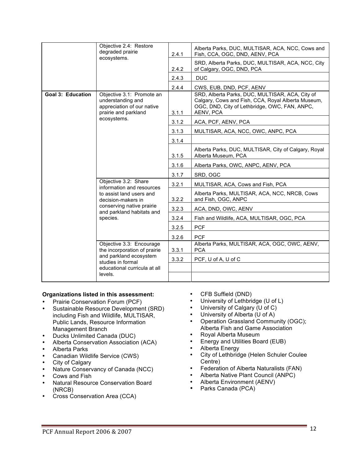|                          | Objective 2.4: Restore<br>degraded prairie<br>ecosystems.                                                                                                                 | 2.4.1 | Alberta Parks, DUC, MULTISAR, ACA, NCC, Cows and<br>Fish, CCA, OGC, DND, AENV, PCA                                                                                  |
|--------------------------|---------------------------------------------------------------------------------------------------------------------------------------------------------------------------|-------|---------------------------------------------------------------------------------------------------------------------------------------------------------------------|
|                          |                                                                                                                                                                           | 2.4.2 | SRD, Alberta Parks, DUC, MULTISAR, ACA, NCC, City<br>of Calgary, OGC, DND, PCA                                                                                      |
|                          |                                                                                                                                                                           | 2.4.3 | <b>DUC</b>                                                                                                                                                          |
|                          |                                                                                                                                                                           | 2.4.4 | CWS, EUB, DND, PCF, AENV                                                                                                                                            |
| <b>Goal 3: Education</b> | Objective 3.1: Promote an<br>understanding and<br>appreciation of our native<br>prairie and parkland<br>ecosystems.                                                       | 3.1.1 | SRD, Alberta Parks, DUC, MULTISAR, ACA, City of<br>Calgary, Cows and Fish, CCA, Royal Alberta Museum,<br>OGC, DND, City of Lethbridge, OWC, FAN, ANPC,<br>AENV, PCA |
|                          |                                                                                                                                                                           | 3.1.2 | ACA, PCF, AENV, PCA                                                                                                                                                 |
|                          |                                                                                                                                                                           | 3.1.3 | MULTISAR, ACA, NCC, OWC, ANPC, PCA                                                                                                                                  |
|                          |                                                                                                                                                                           | 3.1.4 |                                                                                                                                                                     |
|                          |                                                                                                                                                                           | 3.1.5 | Alberta Parks, DUC, MULTISAR, City of Calgary, Royal<br>Alberta Museum, PCA                                                                                         |
|                          |                                                                                                                                                                           | 3.1.6 | Alberta Parks, OWC, ANPC, AENV, PCA                                                                                                                                 |
|                          |                                                                                                                                                                           | 3.1.7 | SRD, OGC                                                                                                                                                            |
|                          | Objective 3.2: Share<br>information and resources<br>to assist land users and<br>decision-makers in<br>conserving native prairie<br>and parkland habitats and<br>species. | 3.2.1 | MULTISAR, ACA, Cows and Fish, PCA                                                                                                                                   |
|                          |                                                                                                                                                                           | 3.2.2 | Alberta Parks, MULTISAR, ACA, NCC, NRCB, Cows<br>and Fish, OGC, ANPC                                                                                                |
|                          |                                                                                                                                                                           | 3.2.3 | ACA, DND, OWC, AENV                                                                                                                                                 |
|                          |                                                                                                                                                                           | 3.2.4 | Fish and Wildlife, ACA, MULTISAR, OGC, PCA                                                                                                                          |
|                          |                                                                                                                                                                           | 3.2.5 | <b>PCF</b>                                                                                                                                                          |
|                          |                                                                                                                                                                           | 3.2.6 | <b>PCF</b>                                                                                                                                                          |
|                          | Objective 3.3: Encourage<br>the incorporation of prairie<br>and parkland ecosystem<br>studies in formal<br>educational curricula at all                                   | 3.3.1 | Alberta Parks, MULTISAR, ACA, OGC, OWC, AENV,<br><b>PCA</b>                                                                                                         |
|                          |                                                                                                                                                                           | 3.3.2 | PCF, U of A, U of C                                                                                                                                                 |
|                          |                                                                                                                                                                           |       |                                                                                                                                                                     |
|                          | levels.                                                                                                                                                                   |       |                                                                                                                                                                     |

#### **Organizations listed in this assessment:**

- Prairie Conservation Forum (PCF)
- Sustainable Resource Development (SRD) including Fish and Wildlife, MULTISAR, Public Lands, Resource Information Management Branch
- Ducks Unlimited Canada (DUC)
- Alberta Conservation Association (ACA)
- Alberta Parks
- Canadian Wildlife Service (CWS)
- City of Calgary
- Nature Conservancy of Canada (NCC)
- Cows and Fish<br>• Natural Resourd
- Natural Resource Conservation Board (NRCB)
- Cross Conservation Area (CCA)
- CFB Suffield (DND)
- University of Lethbridge (U of L)
- University of Calgary (U of C)
- University of Alberta (U of A)<br>• Operation Grassland Commun
- Operation Grassland Community (OGC); Alberta Fish and Game Association
- Royal Alberta Museum<br>• Energy and Utilities Box
- Energy and Utilities Board (EUB)
- Alberta Energy
- City of Lethbridge (Helen Schuler Coulee Centre)
- Federation of Alberta Naturalists (FAN)
- Alberta Native Plant Council (ANPC)
- Alberta Environment (AENV)
- Parks Canada (PCA)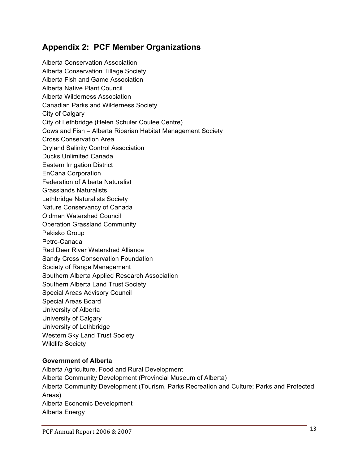### **Appendix 2: PCF Member Organizations**

Alberta Conservation Association Alberta Conservation Tillage Society Alberta Fish and Game Association Alberta Native Plant Council Alberta Wilderness Association Canadian Parks and Wilderness Society City of Calgary City of Lethbridge (Helen Schuler Coulee Centre) Cows and Fish – Alberta Riparian Habitat Management Society Cross Conservation Area Dryland Salinity Control Association Ducks Unlimited Canada Eastern Irrigation District EnCana Corporation Federation of Alberta Naturalist Grasslands Naturalists Lethbridge Naturalists Society Nature Conservancy of Canada Oldman Watershed Council Operation Grassland Community Pekisko Group Petro-Canada Red Deer River Watershed Alliance Sandy Cross Conservation Foundation Society of Range Management Southern Alberta Applied Research Association Southern Alberta Land Trust Society Special Areas Advisory Council Special Areas Board University of Alberta University of Calgary University of Lethbridge Western Sky Land Trust Society Wildlife Society

#### **Government of Alberta**

Alberta Agriculture, Food and Rural Development Alberta Community Development (Provincial Museum of Alberta) Alberta Community Development (Tourism, Parks Recreation and Culture; Parks and Protected Areas) Alberta Economic Development Alberta Energy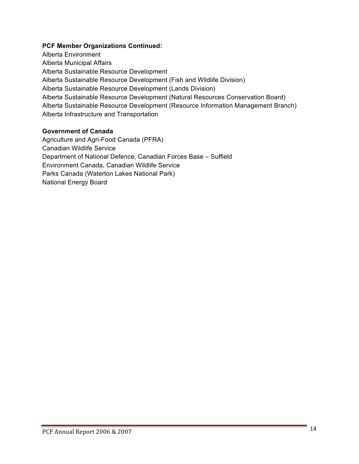#### **PCF Member Organizations Continued:**

Alberta Environment Alberta Municipal Affairs Alberta Sustainable Resource Development Alberta Sustainable Resource Development (Fish and Wildlife Division) Alberta Sustainable Resource Development (Lands Division) Alberta Sustainable Resource Development (Natural Resources Conservation Board) Alberta Sustainable Resource Development (Resource Information Management Branch) Alberta Infrastructure and Transportation

#### **Government of Canada**

Agriculture and Agri-Food Canada (PFRA) Canadian Wildlife Service Department of National Defence, Canadian Forces Base – Suffield Environment Canada, Canadian Wildlife Service Parks Canada (Waterton Lakes National Park) National Energy Board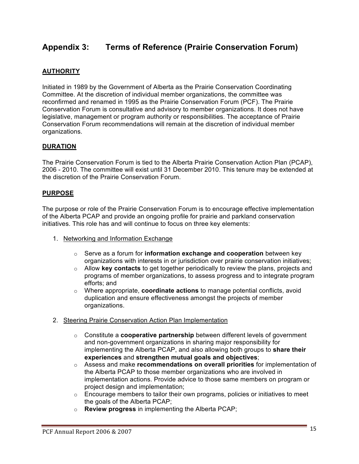### **Appendix 3: Terms of Reference (Prairie Conservation Forum)**

#### **AUTHORITY**

Initiated in 1989 by the Government of Alberta as the Prairie Conservation Coordinating Committee. At the discretion of individual member organizations, the committee was reconfirmed and renamed in 1995 as the Prairie Conservation Forum (PCF). The Prairie Conservation Forum is consultative and advisory to member organizations. It does not have legislative, management or program authority or responsibilities. The acceptance of Prairie Conservation Forum recommendations will remain at the discretion of individual member organizations.

#### **DURATION**

The Prairie Conservation Forum is tied to the Alberta Prairie Conservation Action Plan (PCAP), 2006 - 2010. The committee will exist until 31 December 2010. This tenure may be extended at the discretion of the Prairie Conservation Forum.

#### **PURPOSE**

The purpose or role of the Prairie Conservation Forum is to encourage effective implementation of the Alberta PCAP and provide an ongoing profile for prairie and parkland conservation initiatives. This role has and will continue to focus on three key elements:

- 1. Networking and Information Exchange
	- o Serve as a forum for **information exchange and cooperation** between key organizations with interests in or jurisdiction over prairie conservation initiatives;
	- o Allow **key contacts** to get together periodically to review the plans, projects and programs of member organizations, to assess progress and to integrate program efforts; and
	- o Where appropriate, **coordinate actions** to manage potential conflicts, avoid duplication and ensure effectiveness amongst the projects of member organizations.
- 2. Steering Prairie Conservation Action Plan Implementation
	- o Constitute a **cooperative partnership** between different levels of government and non-government organizations in sharing major responsibility for implementing the Alberta PCAP, and also allowing both groups to **share their experiences** and **strengthen mutual goals and objectives**;
	- o Assess and make **recommendations on overall priorities** for implementation of the Alberta PCAP to those member organizations who are involved in implementation actions. Provide advice to those same members on program or project design and implementation;
	- $\circ$  Encourage members to tailor their own programs, policies or initiatives to meet the goals of the Alberta PCAP;
	- o **Review progress** in implementing the Alberta PCAP;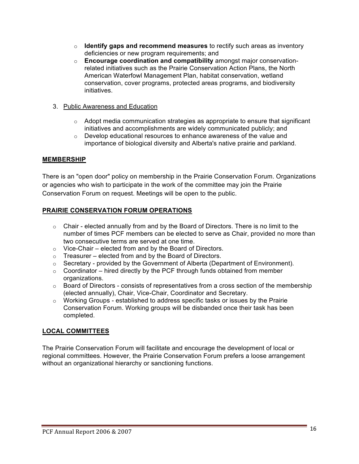- o **Identify gaps and recommend measures** to rectify such areas as inventory deficiencies or new program requirements; and
- o **Encourage coordination and compatibility** amongst major conservationrelated initiatives such as the Prairie Conservation Action Plans, the North American Waterfowl Management Plan, habitat conservation, wetland conservation, cover programs, protected areas programs, and biodiversity initiatives.
- 3. Public Awareness and Education
	- $\circ$  Adopt media communication strategies as appropriate to ensure that significant initiatives and accomplishments are widely communicated publicly; and
	- o Develop educational resources to enhance awareness of the value and importance of biological diversity and Alberta's native prairie and parkland.

#### **MEMBERSHIP**

There is an "open door" policy on membership in the Prairie Conservation Forum. Organizations or agencies who wish to participate in the work of the committee may join the Prairie Conservation Forum on request. Meetings will be open to the public.

#### **PRAIRIE CONSERVATION FORUM OPERATIONS**

- $\circ$  Chair elected annually from and by the Board of Directors. There is no limit to the number of times PCF members can be elected to serve as Chair, provided no more than two consecutive terms are served at one time.
- $\circ$  Vice-Chair elected from and by the Board of Directors.
- $\circ$  Treasurer elected from and by the Board of Directors.
- $\circ$  Secretary provided by the Government of Alberta (Department of Environment).
- $\circ$  Coordinator hired directly by the PCF through funds obtained from member organizations.
- $\circ$  Board of Directors consists of representatives from a cross section of the membership (elected annually), Chair, Vice-Chair, Coordinator and Secretary.
- o Working Groups established to address specific tasks or issues by the Prairie Conservation Forum. Working groups will be disbanded once their task has been completed.

#### **LOCAL COMMITTEES**

The Prairie Conservation Forum will facilitate and encourage the development of local or regional committees. However, the Prairie Conservation Forum prefers a loose arrangement without an organizational hierarchy or sanctioning functions.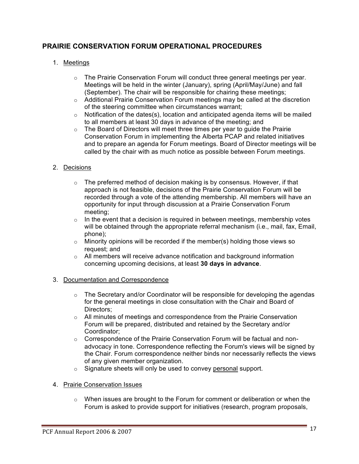#### **PRAIRIE CONSERVATION FORUM OPERATIONAL PROCEDURES**

#### 1. Meetings

- $\circ$  The Prairie Conservation Forum will conduct three general meetings per year. Meetings will be held in the winter (January), spring (April/May/June) and fall (September). The chair will be responsible for chairing these meetings;
- $\circ$  Additional Prairie Conservation Forum meetings may be called at the discretion of the steering committee when circumstances warrant;
- $\circ$  Notification of the dates(s), location and anticipated agenda items will be mailed to all members at least 30 days in advance of the meeting; and
- $\circ$  The Board of Directors will meet three times per year to guide the Prairie Conservation Forum in implementing the Alberta PCAP and related initiatives and to prepare an agenda for Forum meetings. Board of Director meetings will be called by the chair with as much notice as possible between Forum meetings.

#### 2. Decisions

- $\circ$  The preferred method of decision making is by consensus. However, if that approach is not feasible, decisions of the Prairie Conservation Forum will be recorded through a vote of the attending membership. All members will have an opportunity for input through discussion at a Prairie Conservation Forum meeting;
- $\circ$  In the event that a decision is required in between meetings, membership votes will be obtained through the appropriate referral mechanism (i.e., mail, fax, Email, phone);
- $\circ$  Minority opinions will be recorded if the member(s) holding those views so request; and
- $\circ$  All members will receive advance notification and background information concerning upcoming decisions, at least **30 days in advance**.
- 3. Documentation and Correspondence
	- $\circ$  The Secretary and/or Coordinator will be responsible for developing the agendas for the general meetings in close consultation with the Chair and Board of Directors;
	- $\circ$  All minutes of meetings and correspondence from the Prairie Conservation Forum will be prepared, distributed and retained by the Secretary and/or Coordinator;
	- $\circ$  Correspondence of the Prairie Conservation Forum will be factual and nonadvocacy in tone. Correspondence reflecting the Forum's views will be signed by the Chair. Forum correspondence neither binds nor necessarily reflects the views of any given member organization.
	- o Signature sheets will only be used to convey personal support.
- 4. Prairie Conservation Issues
	- $\circ$  When issues are brought to the Forum for comment or deliberation or when the Forum is asked to provide support for initiatives (research, program proposals,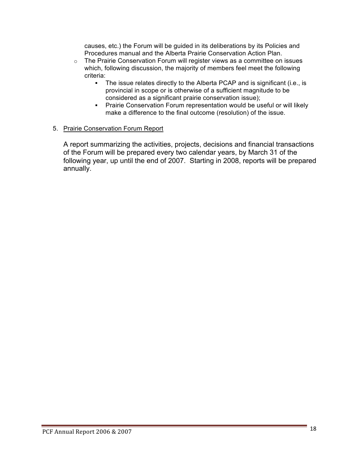causes, etc.) the Forum will be guided in its deliberations by its Policies and Procedures manual and the Alberta Prairie Conservation Action Plan.

- $\circ$  The Prairie Conservation Forum will register views as a committee on issues which, following discussion, the majority of members feel meet the following criteria:
	- The issue relates directly to the Alberta PCAP and is significant (i.e., is provincial in scope or is otherwise of a sufficient magnitude to be considered as a significant prairie conservation issue);
	- Prairie Conservation Forum representation would be useful or will likely make a difference to the final outcome (resolution) of the issue.

#### 5. Prairie Conservation Forum Report

A report summarizing the activities, projects, decisions and financial transactions of the Forum will be prepared every two calendar years, by March 31 of the following year, up until the end of 2007. Starting in 2008, reports will be prepared annually.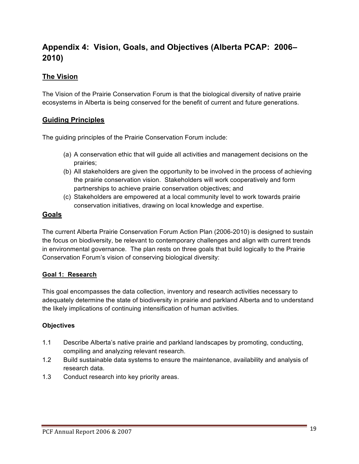### **Appendix 4: Vision, Goals, and Objectives (Alberta PCAP: 2006– 2010)**

#### **The Vision**

The Vision of the Prairie Conservation Forum is that the biological diversity of native prairie ecosystems in Alberta is being conserved for the benefit of current and future generations.

#### **Guiding Principles**

The guiding principles of the Prairie Conservation Forum include:

- (a) A conservation ethic that will guide all activities and management decisions on the prairies;
- (b) All stakeholders are given the opportunity to be involved in the process of achieving the prairie conservation vision. Stakeholders will work cooperatively and form partnerships to achieve prairie conservation objectives; and
- (c) Stakeholders are empowered at a local community level to work towards prairie conservation initiatives, drawing on local knowledge and expertise.

#### **Goals**

The current Alberta Prairie Conservation Forum Action Plan (2006-2010) is designed to sustain the focus on biodiversity, be relevant to contemporary challenges and align with current trends in environmental governance. The plan rests on three goals that build logically to the Prairie Conservation Forum's vision of conserving biological diversity:

#### **Goal 1: Research**

This goal encompasses the data collection, inventory and research activities necessary to adequately determine the state of biodiversity in prairie and parkland Alberta and to understand the likely implications of continuing intensification of human activities.

#### **Objectives**

- 1.1 Describe Alberta's native prairie and parkland landscapes by promoting, conducting, compiling and analyzing relevant research.
- 1.2 Build sustainable data systems to ensure the maintenance, availability and analysis of research data.
- 1.3 Conduct research into key priority areas.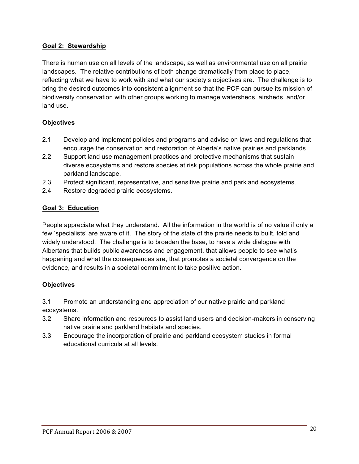#### **Goal 2: Stewardship**

There is human use on all levels of the landscape, as well as environmental use on all prairie landscapes. The relative contributions of both change dramatically from place to place, reflecting what we have to work with and what our society's objectives are. The challenge is to bring the desired outcomes into consistent alignment so that the PCF can pursue its mission of biodiversity conservation with other groups working to manage watersheds, airsheds, and/or land use.

#### **Objectives**

- 2.1 Develop and implement policies and programs and advise on laws and regulations that encourage the conservation and restoration of Alberta's native prairies and parklands.
- 2.2 Support land use management practices and protective mechanisms that sustain diverse ecosystems and restore species at risk populations across the whole prairie and parkland landscape.
- 2.3 Protect significant, representative, and sensitive prairie and parkland ecosystems.
- 2.4 Restore degraded prairie ecosystems.

#### **Goal 3: Education**

People appreciate what they understand. All the information in the world is of no value if only a few 'specialists' are aware of it. The story of the state of the prairie needs to built, told and widely understood. The challenge is to broaden the base, to have a wide dialogue with Albertans that builds public awareness and engagement, that allows people to see what's happening and what the consequences are, that promotes a societal convergence on the evidence, and results in a societal commitment to take positive action.

#### **Objectives**

3.1 Promote an understanding and appreciation of our native prairie and parkland ecosystems.

- 3.2 Share information and resources to assist land users and decision-makers in conserving native prairie and parkland habitats and species.
- 3.3 Encourage the incorporation of prairie and parkland ecosystem studies in formal educational curricula at all levels.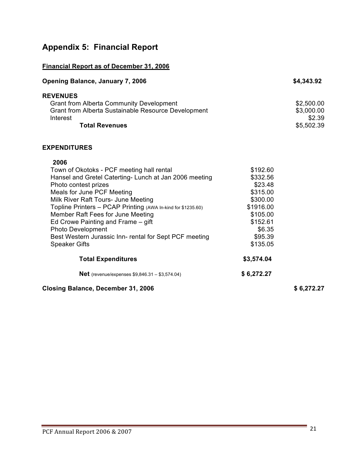## **Appendix 5: Financial Report**

#### **Financial Report as of December 31, 2006**

| <b>Opening Balance, January 7, 2006</b> | \$4,343.92 |
|-----------------------------------------|------------|
|                                         |            |

| <b>REVENUES</b>                                            |            |
|------------------------------------------------------------|------------|
| <b>Grant from Alberta Community Development</b>            | \$2,500.00 |
| <b>Grant from Alberta Sustainable Resource Development</b> | \$3,000.00 |
| Interest                                                   | \$2.39     |
| <b>Total Revenues</b>                                      | \$5,502.39 |

#### **EXPENDITURES**

| <b>Closing Balance, December 31, 2006</b>                    |            | \$6,272.27 |
|--------------------------------------------------------------|------------|------------|
| <b>Net</b> (revenue/expenses $$9,846.31 - $3,574.04$ )       | \$6,272.27 |            |
| <b>Total Expenditures</b>                                    | \$3,574.04 |            |
| <b>Speaker Gifts</b>                                         | \$135.05   |            |
| Best Western Jurassic Inn- rental for Sept PCF meeting       | \$95.39    |            |
| <b>Photo Development</b>                                     | \$6.35     |            |
| Ed Crowe Painting and Frame – gift                           | \$152.61   |            |
| Member Raft Fees for June Meeting                            | \$105.00   |            |
| Topline Printers - PCAP Printing (AWA In-kind for \$1235.60) | \$1916.00  |            |
| Milk River Raft Tours- June Meeting                          | \$300.00   |            |
| Meals for June PCF Meeting                                   | \$315.00   |            |
| Photo contest prizes                                         | \$23.48    |            |
| Hansel and Gretel Caterting-Lunch at Jan 2006 meeting        | \$332.56   |            |
| Town of Okotoks - PCF meeting hall rental                    | \$192.60   |            |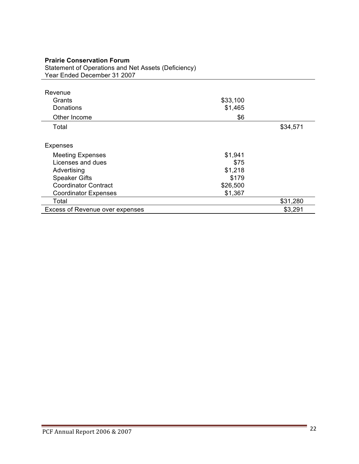| Statement of Operations and Net Assets (Deficiency) |          |          |
|-----------------------------------------------------|----------|----------|
| Year Ended December 31 2007                         |          |          |
|                                                     |          |          |
| Revenue                                             |          |          |
| Grants                                              | \$33,100 |          |
| Donations                                           | \$1,465  |          |
| Other Income                                        | \$6      |          |
| Total                                               |          | \$34,571 |
|                                                     |          |          |
| <b>Expenses</b>                                     |          |          |
| <b>Meeting Expenses</b>                             | \$1,941  |          |
| Licenses and dues                                   | \$75     |          |
| Advertising                                         | \$1,218  |          |
| <b>Speaker Gifts</b>                                | \$179    |          |
| <b>Coordinator Contract</b>                         | \$26,500 |          |
| <b>Coordinator Expenses</b>                         | \$1,367  |          |
| Total                                               |          | \$31,280 |
| <b>Excess of Revenue over expenses</b>              |          | \$3,291  |

### **Prairie Conservation Forum**